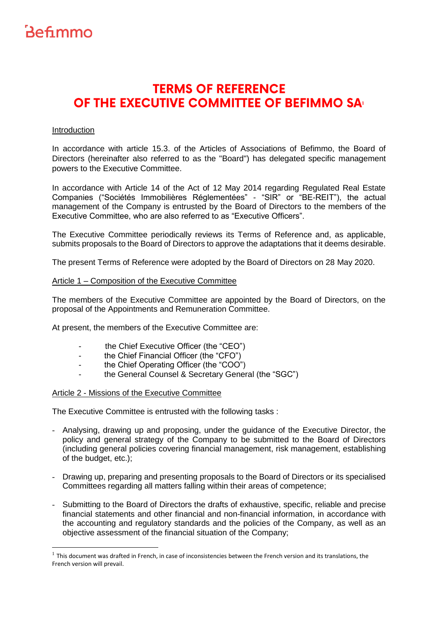## **TERMS OF REFERENCE** OF THE EXECUTIVE COMMITTEE OF BEFIMMO SA<sup>1</sup>

### Introduction

In accordance with article 15.3. of the Articles of Associations of Befimmo, the Board of Directors (hereinafter also referred to as the "Board") has delegated specific management powers to the Executive Committee.

In accordance with Article 14 of the Act of 12 May 2014 regarding Regulated Real Estate Companies ("Sociétés Immobilières Réglementées" - "SIR" or "BE-REIT"), the actual management of the Company is entrusted by the Board of Directors to the members of the Executive Committee, who are also referred to as "Executive Officers".

The Executive Committee periodically reviews its Terms of Reference and, as applicable, submits proposals to the Board of Directors to approve the adaptations that it deems desirable.

The present Terms of Reference were adopted by the Board of Directors on 28 May 2020.

### Article 1 – Composition of the Executive Committee

The members of the Executive Committee are appointed by the Board of Directors, on the proposal of the Appointments and Remuneration Committee.

At present, the members of the Executive Committee are:

- the Chief Executive Officer (the "CEO")
- the Chief Financial Officer (the "CFO")
- the Chief Operating Officer (the "COO")
- the General Counsel & Secretary General (the "SGC")

### Article 2 - Missions of the Executive Committee

The Executive Committee is entrusted with the following tasks :

- Analysing, drawing up and proposing, under the guidance of the Executive Director, the policy and general strategy of the Company to be submitted to the Board of Directors (including general policies covering financial management, risk management, establishing of the budget, etc.);
- Drawing up, preparing and presenting proposals to the Board of Directors or its specialised Committees regarding all matters falling within their areas of competence;
- Submitting to the Board of Directors the drafts of exhaustive, specific, reliable and precise financial statements and other financial and non-financial information, in accordance with the accounting and regulatory standards and the policies of the Company, as well as an objective assessment of the financial situation of the Company;

 $1$  This document was drafted in French, in case of inconsistencies between the French version and its translations, the French version will prevail.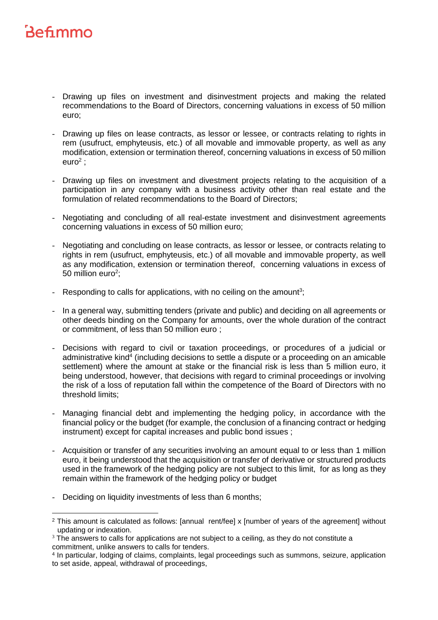# Befimmo

j

- Drawing up files on investment and disinvestment projects and making the related recommendations to the Board of Directors, concerning valuations in excess of 50 million euro;
- Drawing up files on lease contracts, as lessor or lessee, or contracts relating to rights in rem (usufruct, emphyteusis, etc.) of all movable and immovable property, as well as any modification, extension or termination thereof, concerning valuations in excess of 50 million euro<sup>2</sup> ;
- <span id="page-1-0"></span>Drawing up files on investment and divestment projects relating to the acquisition of a participation in any company with a business activity other than real estate and the formulation of related recommendations to the Board of Directors;
- Negotiating and concluding of all real-estate investment and disinvestment agreements concerning valuations in excess of 50 million euro;
- Negotiating and concluding on lease contracts, as lessor or lessee, or contracts relating to rights in rem (usufruct, emphyteusis, etc.) of all movable and immovable property, as well as any modification, extension or termination thereof, concerning valuations in excess of 50 milli[o](#page-1-0)n euro<sup>2</sup>;
- Responding to calls for applications, with no ceiling on the amount<sup>3</sup>;
- In a general way, submitting tenders (private and public) and deciding on all agreements or other deeds binding on the Company for amounts, over the whole duration of the contract or commitment, of less than 50 million euro ;
- Decisions with regard to civil or taxation proceedings, or procedures of a judicial or administrative kind<sup>4</sup> (including decisions to settle a dispute or a proceeding on an amicable settlement) where the amount at stake or the financial risk is less than 5 million euro, it being understood, however, that decisions with regard to criminal proceedings or involving the risk of a loss of reputation fall within the competence of the Board of Directors with no threshold limits;
- Managing financial debt and implementing the hedging policy, in accordance with the financial policy or the budget (for example, the conclusion of a financing contract or hedging instrument) except for capital increases and public bond issues ;
- Acquisition or transfer of any securities involving an amount equal to or less than 1 million euro, it being understood that the acquisition or transfer of derivative or structured products used in the framework of the hedging policy are not subject to this limit, for as long as they remain within the framework of the hedging policy or budget
- Deciding on liquidity investments of less than 6 months;

<sup>2</sup> This amount is calculated as follows: [annual rent/fee] x [number of years of the agreement] without updating or indexation.

 $3$  The answers to calls for applications are not subject to a ceiling, as they do not constitute a commitment, unlike answers to calls for tenders.

<sup>4</sup> In particular, lodging of claims, complaints, legal proceedings such as summons, seizure, application to set aside, appeal, withdrawal of proceedings,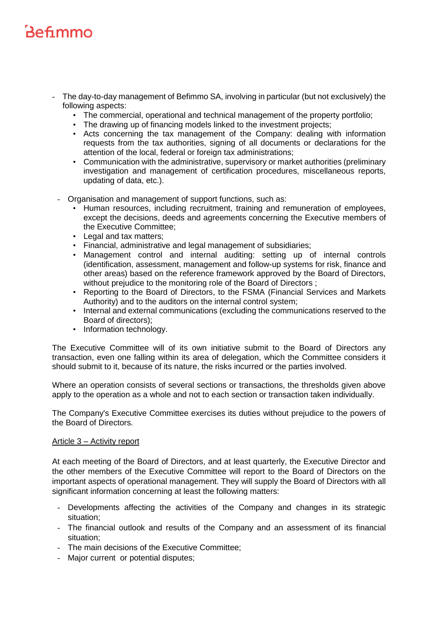# Befimmo

- The day-to-day management of Befimmo SA, involving in particular (but not exclusively) the following aspects:
	- The commercial, operational and technical management of the property portfolio;
	- The drawing up of financing models linked to the investment projects;
	- Acts concerning the tax management of the Company: dealing with information requests from the tax authorities, signing of all documents or declarations for the attention of the local, federal or foreign tax administrations;
	- Communication with the administrative, supervisory or market authorities (preliminary investigation and management of certification procedures, miscellaneous reports, updating of data, etc.).
	- Organisation and management of support functions, such as:
		- Human resources, including recruitment, training and remuneration of employees, except the decisions, deeds and agreements concerning the Executive members of the Executive Committee;
		- Legal and tax matters;
		- Financial, administrative and legal management of subsidiaries;
		- Management control and internal auditing: setting up of internal controls (identification, assessment, management and follow-up systems for risk, finance and other areas) based on the reference framework approved by the Board of Directors, without prejudice to the monitoring role of the Board of Directors ;
		- Reporting to the Board of Directors, to the FSMA (Financial Services and Markets Authority) and to the auditors on the internal control system;
		- Internal and external communications (excluding the communications reserved to the Board of directors);
		- Information technology.

The Executive Committee will of its own initiative submit to the Board of Directors any transaction, even one falling within its area of delegation, which the Committee considers it should submit to it, because of its nature, the risks incurred or the parties involved.

Where an operation consists of several sections or transactions, the thresholds given above apply to the operation as a whole and not to each section or transaction taken individually.

The Company's Executive Committee exercises its duties without prejudice to the powers of the Board of Directors.

### Article 3 – Activity report

At each meeting of the Board of Directors, and at least quarterly, the Executive Director and the other members of the Executive Committee will report to the Board of Directors on the important aspects of operational management. They will supply the Board of Directors with all significant information concerning at least the following matters:

- Developments affecting the activities of the Company and changes in its strategic situation;
- The financial outlook and results of the Company and an assessment of its financial situation;
- The main decisions of the Executive Committee;
- Major current or potential disputes;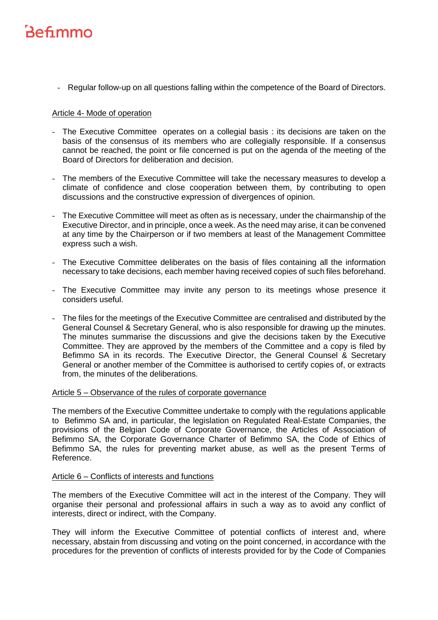# Befimmo

Regular follow-up on all questions falling within the competence of the Board of Directors.

### Article 4- Mode of operation

- The Executive Committee operates on a collegial basis : its decisions are taken on the basis of the consensus of its members who are collegially responsible. If a consensus cannot be reached, the point or file concerned is put on the agenda of the meeting of the Board of Directors for deliberation and decision.
- The members of the Executive Committee will take the necessary measures to develop a climate of confidence and close cooperation between them, by contributing to open discussions and the constructive expression of divergences of opinion.
- The Executive Committee will meet as often as is necessary, under the chairmanship of the Executive Director, and in principle, once a week. As the need may arise, it can be convened at any time by the Chairperson or if two members at least of the Management Committee express such a wish.
- The Executive Committee deliberates on the basis of files containing all the information necessary to take decisions, each member having received copies of such files beforehand.
- The Executive Committee may invite any person to its meetings whose presence it considers useful.
- The files for the meetings of the Executive Committee are centralised and distributed by the General Counsel & Secretary General, who is also responsible for drawing up the minutes. The minutes summarise the discussions and give the decisions taken by the Executive Committee. They are approved by the members of the Committee and a copy is filed by Befimmo SA in its records. The Executive Director, the General Counsel & Secretary General or another member of the Committee is authorised to certify copies of, or extracts from, the minutes of the deliberations.

### Article 5 – Observance of the rules of corporate governance

The members of the Executive Committee undertake to comply with the regulations applicable to Befimmo SA and, in particular, the legislation on Regulated Real-Estate Companies, the provisions of the Belgian Code of Corporate Governance, the Articles of Association of Befimmo SA, the Corporate Governance Charter of Befimmo SA, the Code of Ethics of Befimmo SA, the rules for preventing market abuse, as well as the present Terms of Reference.

### Article 6 – Conflicts of interests and functions

The members of the Executive Committee will act in the interest of the Company. They will organise their personal and professional affairs in such a way as to avoid any conflict of interests, direct or indirect, with the Company.

They will inform the Executive Committee of potential conflicts of interest and, where necessary, abstain from discussing and voting on the point concerned, in accordance with the procedures for the prevention of conflicts of interests provided for by the Code of Companies